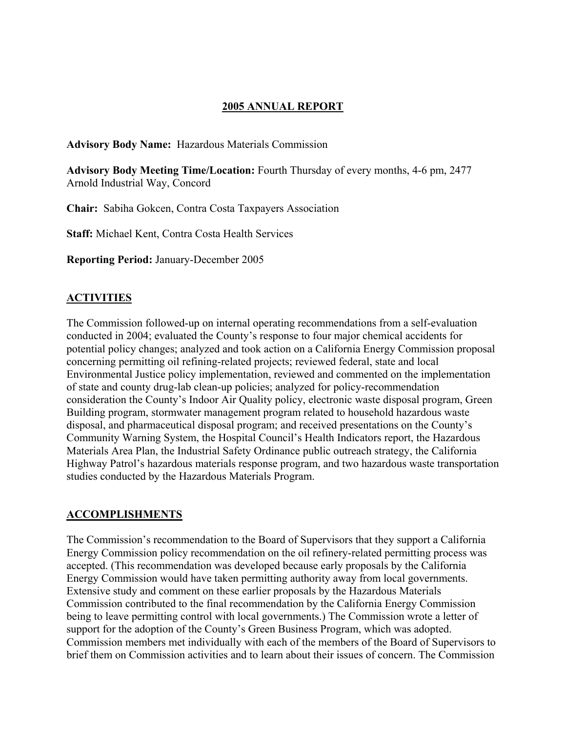## **2005 ANNUAL REPORT**

**Advisory Body Name:** Hazardous Materials Commission

**Advisory Body Meeting Time/Location:** Fourth Thursday of every months, 4-6 pm, 2477 Arnold Industrial Way, Concord

**Chair:** Sabiha Gokcen, Contra Costa Taxpayers Association

**Staff:** Michael Kent, Contra Costa Health Services

**Reporting Period:** January-December 2005

### **ACTIVITIES**

The Commission followed-up on internal operating recommendations from a self-evaluation conducted in 2004; evaluated the County's response to four major chemical accidents for potential policy changes; analyzed and took action on a California Energy Commission proposal concerning permitting oil refining-related projects; reviewed federal, state and local Environmental Justice policy implementation, reviewed and commented on the implementation of state and county drug-lab clean-up policies; analyzed for policy-recommendation consideration the County's Indoor Air Quality policy, electronic waste disposal program, Green Building program, stormwater management program related to household hazardous waste disposal, and pharmaceutical disposal program; and received presentations on the County's Community Warning System, the Hospital Council's Health Indicators report, the Hazardous Materials Area Plan, the Industrial Safety Ordinance public outreach strategy, the California Highway Patrol's hazardous materials response program, and two hazardous waste transportation studies conducted by the Hazardous Materials Program.

### **ACCOMPLISHMENTS**

The Commission's recommendation to the Board of Supervisors that they support a California Energy Commission policy recommendation on the oil refinery-related permitting process was accepted. (This recommendation was developed because early proposals by the California Energy Commission would have taken permitting authority away from local governments. Extensive study and comment on these earlier proposals by the Hazardous Materials Commission contributed to the final recommendation by the California Energy Commission being to leave permitting control with local governments.) The Commission wrote a letter of support for the adoption of the County's Green Business Program, which was adopted. Commission members met individually with each of the members of the Board of Supervisors to brief them on Commission activities and to learn about their issues of concern. The Commission